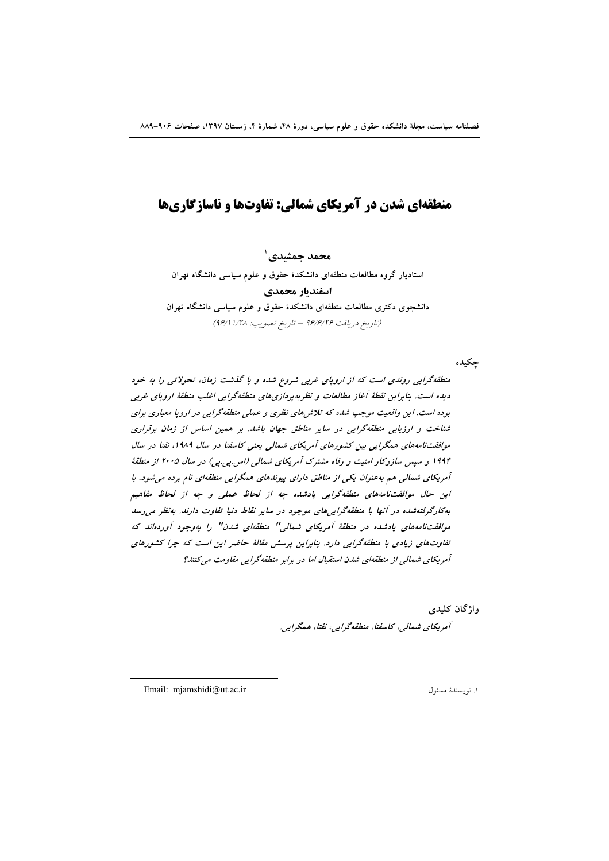# **منطقهای شدن در آمریکای شمالی: تفاوتها و ناسازگاریها**

 **- <sup>1</sup>** استادیار گروه مطالعات منطقهای دانشکدهٔ حقوق و علوم سیاسی دانشگاه تهران **اسفنديار محمدي** دانشجوی دکتری مطالعات منطقهای دانشکدهٔ حقوق و علوم سیاسی دانشگاه تهران (تاریخ دریافت ۹۶/۶/۲۶ – تاریخ تصویب: ۹۶/۱۱/۲۸)

چکیده

منطقهگرایی روندی است که از اروپای غربی شروع شده و با گذشت زمان، تحولاتی را به خود دیده است. بنابراین نقطهٔ آغاز مطالعات و نظریهپردازیهای منطقهگرایی اغلب منطقهٔ اروپای غربی بوده است. این واقعیت موجب شده که تلاش های نظری و عملی منطقهگرایی در اروپا معیاری برای شناخت و ارزیابی منطقهگرایی در سایر مناطق جهان باشد. بر همین اساس از زمان برقراری موافقتنامههای همگرایی بین کشورهای آمریکای شمالی یعنی کاسفتا در سال ۱۹۸۹، نفتا در سال ۱۹۹۴ و سپس سازوکار امنیت و رفاه مشترک آمریکای شمال<sub>ی</sub> (اس بی بی) در سال ۲۰۰۵ از منطقهٔ آمریکای شمالی هم ب*هعنوان یکی از مناطق دارای پیوندهای همگرایی منطقهای نام برده میشود. با* این حال موافقت:نامههای منطقهگرایی یادشده چه از لحاظ عملی و چه از لحاظ مفاهیم به کارگرفته شده در آنها با منطقهگرای<sub>م</sub>های موجود در سایر نقاط دنیا تفاوت دارند. به نظر می رسد موافقتنامههای یادشده در منطقهٔ آمریکای شمالی" منطقهای شدن" را بهوجود آوردهاند که تفاوتهای زیادی با منطقهگرایی دارد. بنابراین پرسش مقالهٔ حاضر این است که چرا کشورهای آمریکای شمالی از منطقهای شدن استقبال اما در برابر منطقهگرایی مقاومت میکنند؟

> واژگان کلی*دی* آمریکای شمالی، کاسفتا، منطقهگرایی، نفتا، همگرایی.

Email: mjamshidi@ut.ac.ir 1 .

 $\overline{a}$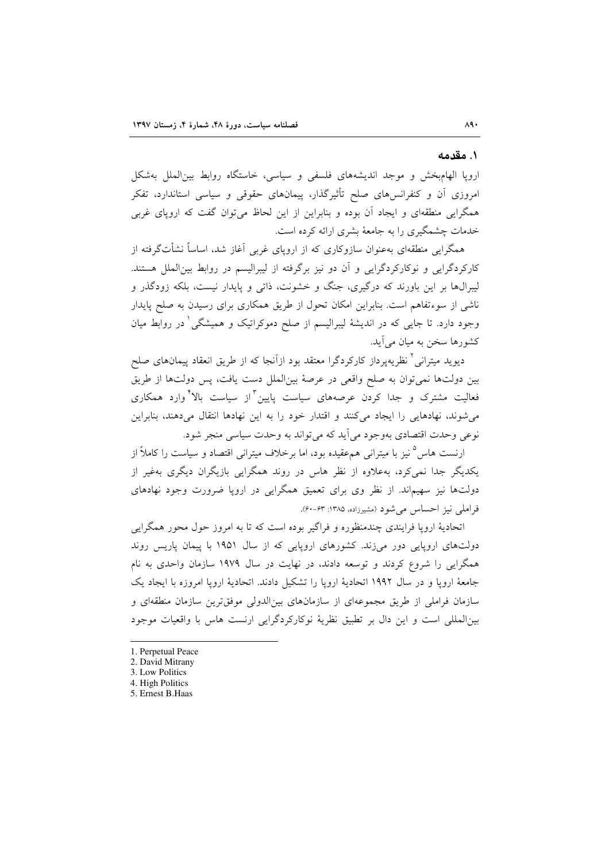### ۱. مقدمه

اروپا الهامبخش و موجد اندیشههای فلسفی و سیاسی، خاستگاه روابط بین الملل بهشکل امروزی آن و کنفرانسهای صلح تأثیرگذار، پیمانهای حقوقی و سیاسی استاندارد، تفکر همگرایی منطقهای و ایجاد آن بوده و بنابراین از این لحاظ می توان گفت که اروپای غربی خدمات چشمگیری را به جامعهٔ بشری ارائه کرده است.

همگرایی منطقهای بهعنوان سازوکاری که از اروپای غربی آغاز شد، اساساً نشأتگرفته از کارکردگرایی و نوکارکردگرایی و آن دو نیز برگرفته از لیبرالیسم در روابط بین|لملل هستند. لیبرال&ا بر این باورند که درگیری، جنگ و خشونت، ذاتی و پایدار نیست، بلکه زودگذر و ناشی از سوءتفاهم است. بنابراین امکان تحول از طریق همکاری برای رسیدن به صلح پایدار وجود دارد. تا جایی که در اندیشهٔ لیبرالیسم از صلح دموکراتیک و همیشگی ٰ در روابط میان کشورها سخن به میان می آید.

دیوید میترانی ٔ نظریهپرداز کارکردگرا معتقد بود ازآنجا که از طریق انعقاد پیمانهای صلح بين دولتها نمي توان به صلح واقعي در عرصهٔ بينالملل دست يافت، پس دولتها از طريق فعالیت مشترک و جدا کردن عرصههای سیاست پایین<sup>۳</sup>از سیاست بالا<sup>۴</sup>وارد همکاری می شوند، نهادهایی را ایجاد می کنند و اقتدار خود را به این نهادها انتقال میدهند، بنابراین نوعي وحدت اقتصادي بهوجود مي آيد كه مي تواند به وحدت سياسي منجر شود.

ارنست هاس<sup>0</sup>نیز با میترانی همءقیده بود، اما برخلاف میترانی اقتصاد و سیاست را کاملاً از یکدیگر جدا نمی کرد، بهعلاوه از نظر هاس در روند همگرایی بازیگران دیگری بهغیر از دولتها نیز سهیماند. از نظر وی برای تعمیق همگرایی در اروپا ضرورت وجود نهادهای فراملي نيز احساس مي شود (مشيرزاده، ١٣٨۵: ۶۳-۶۰).

اتحادیهٔ اروپا فرایندی چندمنظوره و فراگیر بوده است که تا به امروز حول محور همگرایی دولتهای اروپایی دور می زند. کشورهای اروپایی که از سال ۱۹۵۱ با پیمان پاریس روند همگرایی را شروع کردند و توسعه دادند، در نهایت در سال ۱۹۷۹ سازمان واحدی به نام جامعهٔ اروپا و در سال ۱۹۹۲ اتحادیهٔ اروپا را تشکیل دادند. اتحادیهٔ اروپا امروزه با ایجاد یک سازمان فراملی از طریق مجموعهای از سازمانهای بین|لدولی موفق ترین سازمان منطقهای و بینالمللی است و این دال بر تطبیق نظریهٔ نوکارکردگرایی ارنست هاس با واقعیات موجود

<sup>1.</sup> Perpetual Peace

<sup>2.</sup> David Mitrany

<sup>3.</sup> Low Politics

<sup>4.</sup> High Politics

<sup>5.</sup> Ernest B. Haas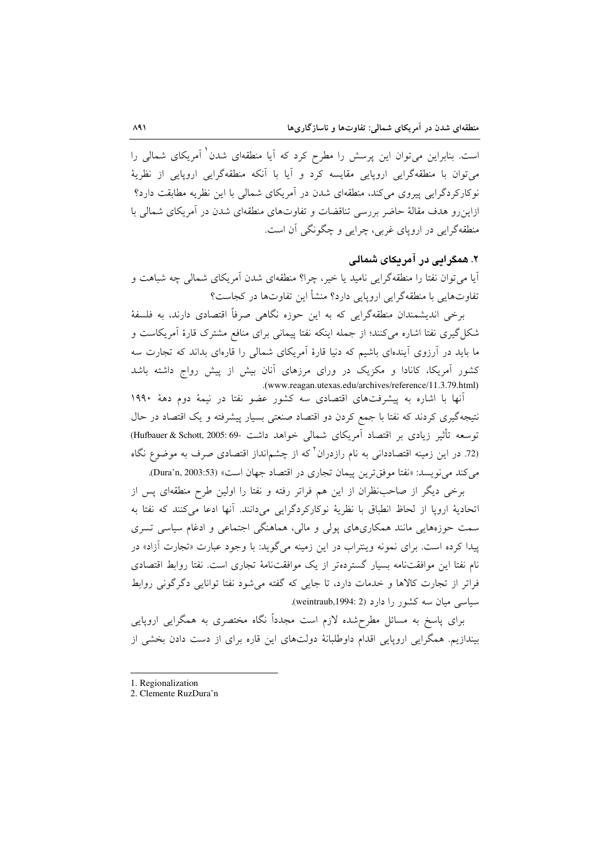است. بنابراین میتوان این پرسش را مطرح کرد که آیا منطقهای شدن<sup>۱</sup> آمریکای شمال<sub>ه،</sub> را می توان یا منطقهگرایی اروپایی مقایسه کرد و آیا یا آنکه منطقهگرایی اروپایی از نظریهٔ نوکارکردگرایی پیروی میکند، منطقهای شدن در آمریکای شمالی با این نظریه مطابقت دارد؟ ازاین رو هدف مقالهٔ حاضر بررسی تناقضات و تفاوتهای منطقهای شدن در آمریکای شمالی با منطقهگرایی در اروپای غربی، چرایی و چگونگی آن است.

## ۲. همگرایی در آمریکای شمالی

آیا می توان نفتا را منطقهگرایی نامید یا خیر، چرا؟ منطقهای شدن آمریکای شمالی چه شباهت و تفاوتهایی با منطقهگرایی اروپایی دارد؟ منشأ این تفاوتها در کجاست؟

برخی اندیشمندان منطقهگرایی که به این حوزه نگاهی صرفاً اقتصادی دارند، به فلسفهٔ شکل گیری نفتا اشاره میکنند؛ از جمله اینکه نفتا پیمانی برای منافع مشترک قارهٔ آمریکاست و ما باید در آرزوی آیندهای باشیم که دنیا قارهٔ آمریکای شمالی را قارهای بداند که تجارت سه کشور آمریکا، کانادا و مکزیک در ورای مرزهای آنان بیش از پیش رواج داشته باشد .(www.reagan.utexas.edu/archives/reference/11.3.79.html)

أنها با اشاره به پیشرفتهای اقتصادی سه کشور عضو نفتا در نیمهٔ دوم دههٔ ۱۹۹۰ نتیجهگیری کردند که نفتا با جمع کردن دو اقتصاد صنعتی بسیار پیشرفته و یک اقتصاد در حال توسعه تأثير زيادى بر اقتصاد آمريكاى شمالى خواهد داشت -69:69% (Hufbauer & Schott, 2005: (72 در این زمینه اقتصاددان<sub>ی</sub> به نام رازدران<sup>۲</sup> که از چشم|نداز اقتصادی صرف به موضوع نگاه می كند می نویسد: «نفتا موفق ترین پیمان تجاری در اقتصاد جهان است» (Dura'n, 2003:53).

برخی دیگر از صاحب نظران از این هم فراتر رفته و نفتا را اولین طرح منطقهای پس از اتحادية اروپا از لحاظ انطباق با نظرية نوكاركردگرايي مي دانند. آنها ادعا مي كنند كه نفتا به سمت حوزههایی مانند همکاریهای پولی و مالی، هماهنگی اجتماعی و ادغام سیاسی تسری پیدا کرده است. برای نمونه وینتراب در این زمینه میگوید: با وجود عبارت «تجارت آزاد» در نام نفتا این موافقتنامه بسیار گستردهتر از یک موافقتنامهٔ تجاری است. نفتا روابط اقتصادی فراتر از تجارت كالاها و خدمات دارد، تا جايبي كه گفته مي شود نفتا توانايي دگرگوني روابط سیاسی میان سه کشور را دارد (weintraub,1994: 2).

برای پاسخ به مسائل مطرحشده لازم است مجدداً نگاه مختصری به همگرایی اروپایی بیندازیم. همگرایی اروپایی اقدام داوطلبانهٔ دولتهای این قاره برای از دست دادن بخشی از

- 1. Regionalization
- 2. Clemente RuzDura'n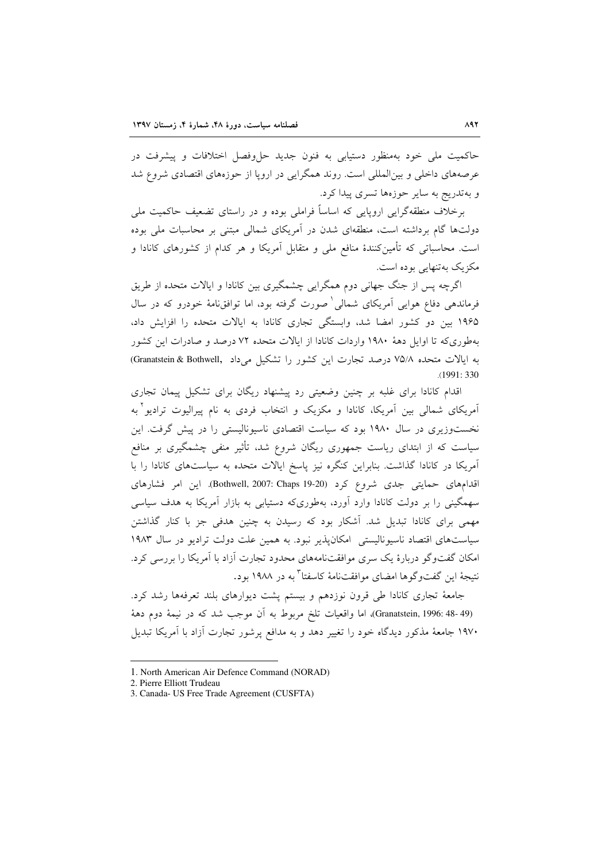حاکمیت ملی خود بهمنظور دستیابی به فنون جدید حا وفصل اختلافات و پیشرفت در عرصههای داخلی و بین|لمللی است. روند همگرایی در اروپا از حوزههای اقتصادی شروع شد و بهتدریج به سایر حوزهها تسری پیدا کرد.

برخلاف منطقهگرایی اروپایی که اساساً فراملی بوده و در راستای تضعیف حاکمیت ملی دولتها گام برداشته است، منطقهای شدن در آمریکای شمالی مبتنی بر محاسبات ملی بوده است. محاسباتی که تأمینکنندهٔ منافع ملی و متقابل آمریکا و هر کدام از کشورهای کانادا و مکزیک بهتنهایی بوده است.

اگرچه پس از جنگ جهانی دوم همگرایی چشمگیری بین کانادا و ایالات متحده از طریق فرماندهی دفاع هوایی آمریکای شمالی صمورت گرفته بود، اما توافق نامهٔ خودرو که در سال ۱۹۶۵ بین دو کشور امضا شد، وابستگی تجاری کانادا به ایالات متحده را افزایش داد، بهطوری که تا اوایل دههٔ ۱۹۸۰ واردات کانادا از ایالات متحده ۷۲ درصد و صادرات این کشور به ایالات متحده ٧٥/٨ درصد تجارت این کشور را تشکیل میداد .Granatstein & Bothwell  $.1991:330$ 

اقدام کانادا برای غلبه بر چنین وضعیتی رد پیشنهاد ریگان برای تشکیل پیمان تجاری آمریکای شمالی بین آمریکا، کانادا و مکزیک و انتخاب فردی به نام پیرالیوت ترادیو ٔ به نخستوزیری در سال ۱۹۸۰ بود که سیاست اقتصادی ناسیونالیستی را در پیش گرفت. این سیاست که از ابتدای ریاست جمهوری ریگان شروع شد، تأثیر منفی چشمگیری بر منافع آمریکا در کانادا گذاشت. بنابراین کنگره نیز پاسخ ایالات متحده به سیاستهای کانادا را با اقدامهای حمایتی جدی شروع کرد (Bothwell, 2007: Chaps 19-20). این امر فشارهای سهمگینی را بر دولت کانادا وارد آورد، بهطوریکه دستیابی به بازار آمریکا به هدف سیاسی مهمی برای کانادا تبدیل شد. آشکار بود که رسیدن به چنین هدفی جز با کنار گذاشتن سیاستهای اقتصاد ناسیونالیستی امکان پذیر نبود. به همین علت دولت ترادیو در سال ۱۹۸۳ امکان گفتوگو دربارهٔ یک سری موافقتنامههای محدود تجارت آزاد با آمریکا را بررسی کرد. نتيجهٔ این گفتوگوها امضای موافقتنامهٔ کاسفتا<sup>۳</sup> به در ۱۹۸۸ بود.

جامعهٔ تجاری کانادا طی قرون نوزدهم و بیستم پشت دیوارهای بلند تعرفهها رشد کرد. (Granatstein, 1996: 48- 49)، اما واقعیات تلخ مربوط به اَن موجب شد که در نیمهٔ دوم دههٔ ۱۹۷۰ جامعهٔ مذکور دیدگاه خود را تغییر دهد و به مدافع پرشور تجارت آزاد با آمریکا تبدیل

<sup>1.</sup> North American Air Defence Command (NORAD)

<sup>2.</sup> Pierre Elliott Trudeau

<sup>3.</sup> Canada- US Free Trade Agreement (CUSFTA)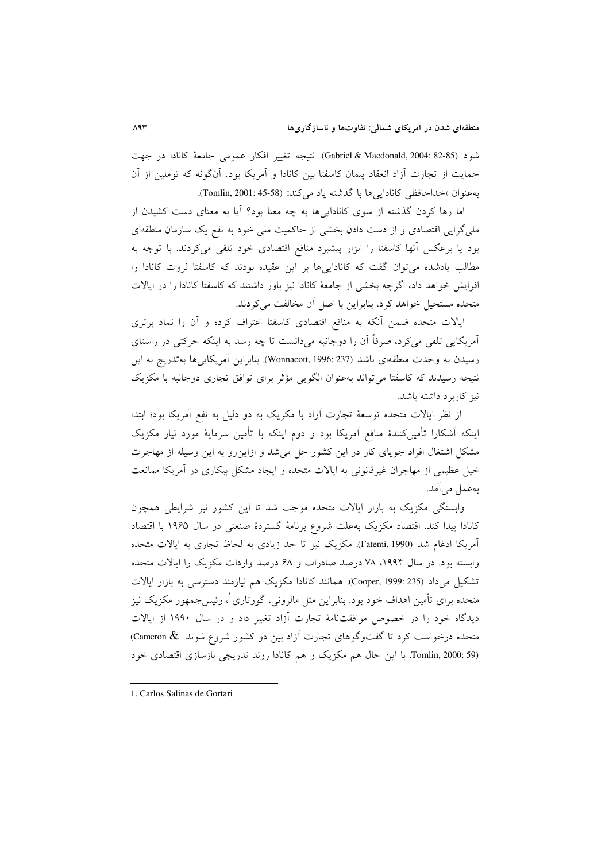شود (Gabriel & Macdonald, 2004: 82-85). نتيجه تغيير افكار عمومي جامعة كانادا در جهت حمایت از تجارت آزاد انعقاد پیمان کاسفتا بین کانادا و آمریکا بود. آنگونه که توملین از آن به عنوان «خداحافظي كانادايي ها با گذشته ياد مي كند» (Tomlin, 2001: 45-58).

اما رها کردن گذشته از سوی کاناداییها به چه معنا بود؟ آیا به معنای دست کشیدن از ملی گرایی اقتصادی و از دست دادن بخشی از حاکمیت ملی خود به نفع یک سازمان منطقهای بود یا برعکس آنها کاسفتا را ابزار پیشبرد منافع اقتصادی خود تلقی میکردند. با توجه به مطالب یادشده می توان گفت که کاناداییها بر این عقیده بودند که کاسفتا ثروت کانادا را افزایش خواهد داد، اگرچه بخشی از جامعهٔ کانادا نیز باور داشتند که کاسفتا کانادا را در ایالات متحده مستحیل خواهد کرد، بنابراین با اصل آن مخالفت می کردند.

ایالات متحده ضمن آنکه به منافع اقتصادی کاسفتا اعتراف کرده و آن را نماد برتری آمریکایی تلقی میکرد، صرفاً آن را دوجانبه میدانست تا چه رسد به اینکه حرکتی در راستای رسیدن به وحدت منطقهای باشد (Wonnacott, 1996: 237). بنابراین آمریکاییها بهتدریج به این نتیجه رسیدند که کاسفتا می تواند بهعنوان الگویی مؤثر برای توافق تجاری دوجانبه با مکزیک نیز کاربرد داشته باشد.

از نظر ایالات متحده توسعهٔ تجارت آزاد با مکزیک به دو دلیل به نفع آمریکا بود؛ ابتدا اینکه آشکارا تأمینکنندهٔ منافع آمریکا بود و دوم اینکه با تأمین سرمایهٔ مورد نیاز مکزیک مشکل اشتغال افراد جویای کار در این کشور حل می شد و ازاین رو به این وسیله از مهاجرت خیل عظیمی از مهاجران غیرقانونی به ایالات متحده و ایجاد مشکل بیکاری در آمریکا ممانعت بەعمل مے آمد.

وابستگی مکزیک به بازار ایالات متحده موجب شد تا این کشور نیز شرایطی همچون كانادا پيدا كند. اقتصاد مكزيك بهعلت شروع برنامهٔ گستردهٔ صنعتی در سال ۱۹۶۵ با اقتصاد آمریکا ادغام شد (Fatemi, 1990). مکزیک نیز تا حد زیادی به لحاظ تجاری به ایالات متحده وابسته بود. در سال ۱۹۹۴، ۷۸ درصد صادرات و ۶۸ درصد واردات مکزیک را ایالات متحده تشکیل می داد (Cooper, 1999: 235). همانند کانادا مکزیک هم نیازمند دسترسی به بازار ایالات متحده برای تأمین اهداف خود بود. بنابراین مثل مالرونی، گورتاری ْ، رئیس جمهور مکزیک نیز دیدگاه خود را در خصوص موافقتنامهٔ تجارت آزاد تغییر داد و در سال ۱۹۹۰ از ایالات متحده درخواست کرد تا گفتوگوهای تجارت آزاد بین دو کشور شروع شوند Cameron & Tomlin, 2000: 59). با این حال هم مکزیک و هم کانادا روند تدریجی بازسازی اقتصادی خود

<sup>1.</sup> Carlos Salinas de Gortari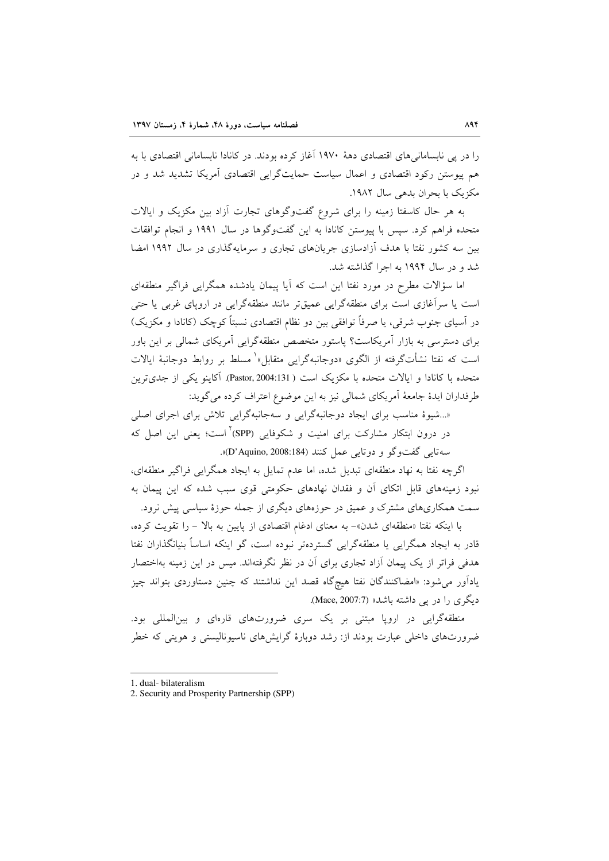را در پی نابسامانی های اقتصادی دههٔ ۱۹۷۰ آغاز کرده بودند. در کانادا نابسامانی اقتصادی با به هم پیوستن رکود اقتصادی و اعمال سیاست حمایتگرایی اقتصادی آمریکا تشدید شد و در مکزیک با بحران بدهی سال ۱۹۸۲.

به هر حال کاسفتا زمینه را برای شروع گفتوگوهای تجارت آزاد بین مکزیک و ایالات متحده فراهم کرد. سیس با پیوستن کانادا به این گفتوگوها در سال ۱۹۹۱ و انجام توافقات بین سه کشور نفتا با هدف آزادسازی جریانهای تجاری و سرمایهگذاری در سال ۱۹۹۲ امضا شد و در سال ۱۹۹۴ به اجرا گذاشته شد.

اما سؤالات مطرح در مورد نفتا این است که آیا پیمان یادشده همگرایی فراگیر منطقهای است یا سرآغازی است برای منطقهگرایی عمیقتر مانند منطقهگرایی در اروپای غربی یا حتی در اسپای جنوب شرقی، یا صرفاً توافقی بین دو نظام اقتصادی نسبتاً کوچک (کانادا و مکزیک) برای دسترسی به بازار آمریکاست؟ پاستور متخصص منطقهگرایی آمریکای شمالی بر این باور است که نفتا نشأتگرفته از الگوی «دوجانبهگرایی متقابل»<sup>۱</sup> مسلط بر روابط دوجانبهٔ ایالات متحده با كانادا و ايالات متحده با مكزيك است ( Pastor, 2004:131). آكاينو يكي از جديترين طرفداران ايدهٔ جامعهٔ آمريكاي شمالي نيز به اين موضوع اعتراف كرده مي گويد:

«...شیوهٔ مناسب برای ایجاد دوجانبهگرایی و سهجانبهگرایی تلاش برای اجرای اصلی در درون ابتکار مشارکت برای امنیت و شکوفایی (SPP)<sup>۲</sup>است؛ یعنی این اصل که سه تايي گفت وگو و دوتايي عمل كنند (D'Aquino, 2008:184)».

اگرچه نفتا به نهاد منطقهای تبدیل شده، اما عدم تمایل به ایجاد همگرایی فراگیر منطقهای، نبود زمینههای قابل اتکای آن و فقدان نهادهای حکومتی قوی سبب شده که این پیمان به سمت همکاریهای مشترک و عمیق در حوزههای دیگری از جمله حوزهٔ سیاسی پیش نرود.

با اینکه نفتا «منطقهای شدن»- به معنای ادغام اقتصادی از پایین به بالا - را تقویت کرده، قادر به ایجاد همگرایی یا منطقهگرایی گستردهتر نبوده است، گو اینکه اساساً بنیانگذاران نفتا هدفی فراتر از یک پیمان آزاد تجاری برای آن در نظر نگرفتهاند. میس در این زمینه بهاختصار یاداًور می شود: «امضاکنندگان نفتا هیچگاه قصد این نداشتند که چنین دستاوردی بتواند چیز دیگری را در پی داشته باشد» (Mace, 2007:7).

منطقهگرایی در اروپا مبتنی بر یک سری ضرورتهای قارهای و بین|لمللی بود. ضرورتهای داخلی عبارت بودند از: رشد دوبارهٔ گرایشهای ناسیونالیستی و هویتی که خطر

<sup>1.</sup> dual-bilateralism

<sup>2.</sup> Security and Prosperity Partnership (SPP)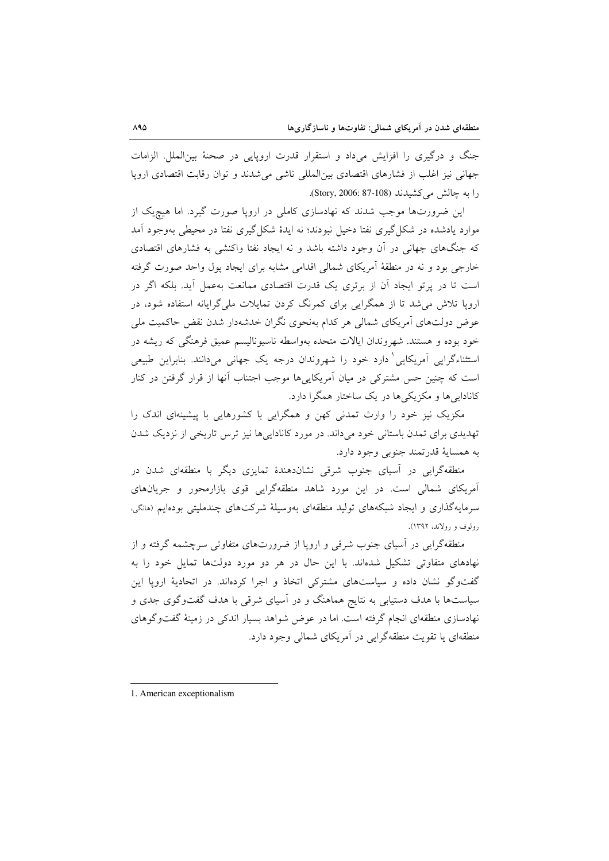جنگ و درگیری را افزایش میداد و استقرار قدرت اروپایی در صحنهٔ بینالملل. الزامات جهانی نیز اغلب از فشارهای اقتصادی بین(لمللی ناشی می شدند و توان رقابت اقتصادی اروپا را به چالش میکشیدند (Story, 2006: 87-108).

این ضرورتها موجب شدند که نهادسازی کاملی در اروپا صورت گیرد. اما هیچیک از موارد یادشده در شکل گیری نفتا دخیل نبودند؛ نه ایدهٔ شکل گیری نفتا در محیطی بهوجود آمد که جنگهای جهانی در آن وجود داشته باشد و نه ایجاد نفتا واکنشی به فشارهای اقتصادی خارجی بود و نه در منطقهٔ آمریکای شمالی اقدامی مشابه برای ایجاد پول واحد صورت گرفته است تا در پرتو ایجاد آن از برتری یک قدرت اقتصادی ممانعت بهعمل آید. بلکه اگر در اروپا تلاش می شد تا از همگرایی برای کمرنگ کردن تمایلات ملی گرایانه استفاده شود، در عوض دولتهای آمریکای شمالی هر کدام بهنحوی نگران خدشهدار شدن نقض حاکمیت ملی خود بوده و هستند. شهروندان ایالات متحده بهواسطه ناسیونالیسم عمیق فرهنگی که ریشه در استثناءگرایی آمریکایی دارد خود را شهروندان درجه یک جهانی میدانند. بنابراین طبیعی است که چنین حس مشترکی در میان آمریکاییها موجب اجتناب آنها از قرار گرفتن در کنار کاناداییها و مکزیکی ها در یک ساختار همگرا دارد.

مکزیک نیز خود را وارث تمدنی کهن و همگرایی با کشورهایی با پیشینهای اندک را تهدیدی برای تمدن باستانی خود میداند. در مورد کاناداییها نیز ترس تاریخی از نزدیک شدن به همساية قدرتمند جنوبي وجود دارد.

منطقهگرایی در آسیای جنوب شرقی نشاندهندهٔ تمایزی دیگر با منطقهای شدن در آمریکای شمالی است. در این مورد شاهد منطقهگرایی قوی بازارمحور و جریانهای سرمایهگذاری و ایجاد شبکههای تولید منطقهای بهوسیلهٔ شرکتهای چندملیتی بودهایم (مانگی، رولوف و رولاند، ۱۳۹۲).

منطقهگرایی در آسیای جنوب شرقی و اروپا از ضرورتهای متفاوتی سرچشمه گرفته و از نهادهای متفاوتی تشکیل شدهاند. با این حال در هر دو مورد دولتها تمایل خود را به گفتوگو نشان داده و سیاستهای مشترکی اتخاذ و اجرا کردهاند. در اتحادیهٔ اروپا این سیاستها با هدف دستیابی به نتایج هماهنگ و در آسیای شرقی با هدف گفتوگوی جدی و نهادسازی منطقهای انجام گرفته است. اما در عوض شواهد بسیار اندکی در زمینهٔ گفتوگوهای منطقهای یا تقویت منطقهگرایی در آمریکای شمالی وجود دارد.

<sup>1.</sup> American exceptionalism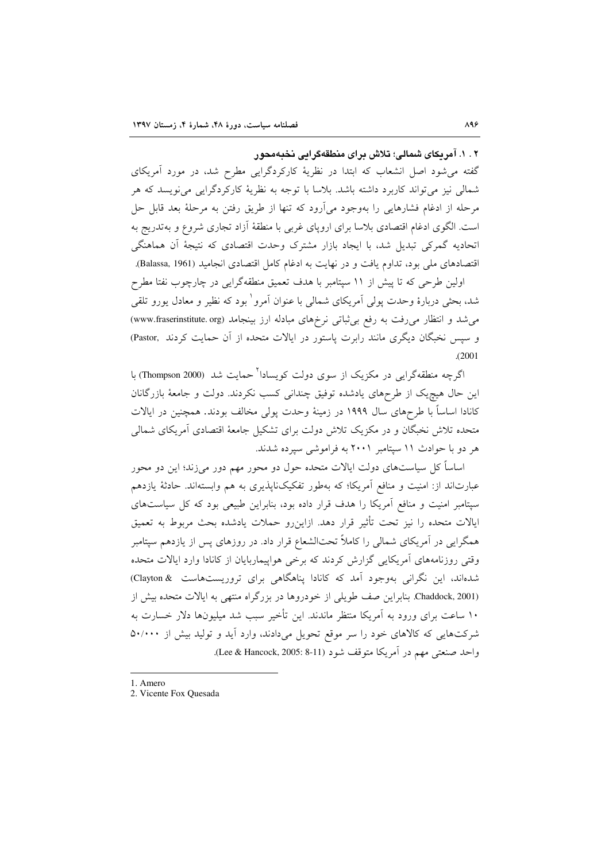۲ . ۱. آمریکای شمالی؛ تلاش برای منطقهگرایی نخبهمحور

گفته میشود اصل انشعاب که ابتدا در نظریهٔ کارکردگرایی مطرح شد، در مورد آمریکای شمالي نيز مي تواند كاربرد داشته باشد. بلاسا با توجه به نظريهٔ كاركردگرايي مي نويسد كه هر مرحله از ادغام فشارهایی را بهوجود میآرود که تنها از طریق رفتن به مرحلهٔ بعد قابل حل است. الگوی ادغام اقتصادی بلاسا برای اروپای غربی با منطقهٔ اَزاد تجاری شروع و بهتدریج به اتحادیه گمرکی تبدیل شد، با ایجاد بازار مشترک وحدت اقتصادی که نتیجهٔ اَن هماهنگی اقتصادهای ملی بود، تداوم یافت و در نهایت به ادغام کامل اقتصادی انجامید (Balassa, 1961).

اولین طرحی که تا پیش از ۱۱ سپتامبر با هدف تعمیق منطقهگرایی در چارچوب نفتا مطرح شد، بحثی دربارهٔ وحدت یولی آمریکای شمالی با عنوان آمرو<sup>\</sup> بود که نظیر و معادل یورو تلقی می شد و انتظار می رفت به رفع بی ثباتی نرخهای مبادله ارز بینجامد (www.fraserinstitute. org) و سپس نخبگان دیگری مانند رابرت پاستور در ایالات متحده از آن حمایت کردند .Pastor)  $(2001$ 

اگرچه منطقهگرایی در مکزیک از سوی دولت کویسادا<sup>۲</sup>حمایت شد (Thompson 2000) با این حال هیچیک از طرحهای یادشده توفیق چندانی کسب نکردند. دولت و جامعهٔ بازرگانان کانادا اساساً با طرحهای سال ۱۹۹۹ در زمینهٔ وحدت پولی مخالف بودند. همچنین در ایالات متحده تلاش نخبگان و در مکزیک تلاش دولت برای تشکیل جامعهٔ اقتصادی آمریکای شمالی هر دو با حوادث ١١ سيتامبر ٢٠٠١ به فراموشي سيرده شدند.

اساساً کل سیاستهای دولت ایالات متحده حول دو محور مهم دور میزند؛ این دو محور عبارتاند از: امنیت و منافع آمریکا؛ که بهطور تفکیکناپذیری به هم وابستهاند. حادثهٔ یازدهم سپتامبر امنیت و منافع آمریکا را هدف قرار داده بود، بنابراین طبیعی بود که کل سیاستهای ايالات متحده را نيز تحت تأثير قرار دهد. ازاين٫رو حملات يادشده بحث مربوط به تعميق همگرایی در آمریکای شمالی را کاملاً تحتالشعاع قرار داد. در روزهای پس از یازدهم سپتامبر وقتی روزنامههای آمریکایی گزارش کردند که برخی هواپیماربایان از کانادا وارد ایالات متحده شدهاند، این نگرانی بهوجود آمد که کانادا پناهگاهی برای تروریستهاست &Clayton) Chaddock, 2001). بنابراین صف طویلی از خودروها در بزرگراه منتهی به ایالات متحده بیش از ۱۰ ساعت برای ورود به آمریکا منتظر ماندند. این تأخیر سبب شد میلیونها دلار خسارت به شرکتهایی که کالاهای خود را سر موقع تحویل میدادند، وارد آید و تولید بیش از ۵۰/۰۰۰ واحد صنعتي مهم در أمريكا متوقف شود (Lee & Hancock, 2005: 8-11).

1. Amero

<sup>2.</sup> Vicente Fox Quesada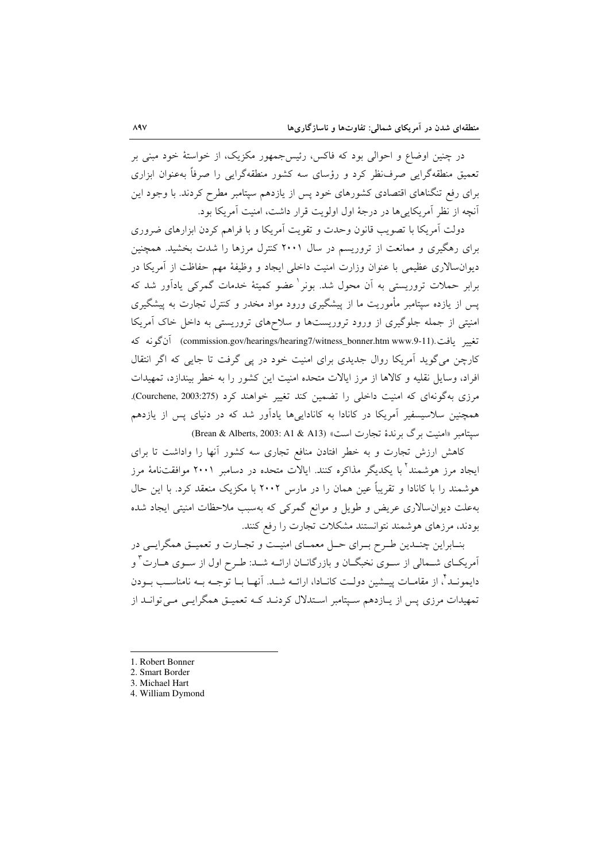در چنین اوضاع و احوالی بود که فاکس، رئیس جمهور مکزیک، از خواستهٔ خود مبنی بر تعمیق منطقهگرایی صرفنظر کرد و رؤسای سه کشور منطقهگرایی را صرفاً بهعنوان ابزاری برای رفع تنگناهای اقتصادی کشورهای خود پس از یازدهم سیتامبر مطرح کردند. با وجود این آنچه از نظر آمریکایی ها در درجهٔ اول اولویت قرار داشت، امنیت آمریکا بود.

دولت آمریکا با تصویب قانون وحدت و تقویت آمریکا و با فراهم کردن ابزارهای ضروری برای رهگیری و ممانعت از تروریسم در سال ۲۰۰۱ کنترل مرزها را شدت بخشید. همچنین دیوانسالاری عظیمی با عنوان وزارت امنیت داخلی ایجاد و وظیفهٔ مهم حفاظت از آمریکا در برابر حملات تروریستی به آن محول شد. بونر ٰ عضو کمیتهٔ خدمات گمرکی یادآور شد که پس از یازده سپتامبر مأموریت ما از پیشگیری ورود مواد مخدر و کنترل تجارت به پیشگیری امنیتی از جمله جلوگیری از ورود تروریستها و سلاحهای تروریستی به داخل خاک آمریکا تغيير يافت.(commission.gov/hearings/hearing7/witness\_bonner.htm www.9-11) آن گونه كه کارچن می گوید اَمریکا روال جدیدی برای امنیت خود در پی گرفت تا جایی که اگر انتقال افراد، وسایل نقلیه و کالاها از مرز ایالات متحده امنیت این کشور را به خطر بیندازد، تمهیدات مرزی بهگونهای که امنیت داخلی را تضمین کند تغییر خواهند کرد (Courchene, 2003:275). همچنین سلاسیسفیر آمریکا در کانادا به کاناداییها یادآور شد که در دنیای پس از یازدهم ستتامیر «امنیت برگ برندهٔ تجارت است» (Brean & Alberts, 2003: A1 & A13)

کاهش ارزش تجارت و به خطر افتادن منافع تجاری سه کشور آنها را واداشت تا برای ایجاد مرز هوشمند<sup>۲</sup> با یکدیگر مذاکره کنند. ایالات متحده در دسامبر ۲۰۰۱ موافقتنامهٔ مرز هوشمند را با کانادا و تقریباً عین همان را در مارس ۲۰۰۲ با مکزیک منعقد کرد. با این حال بهعلت دیوان سالاری عریض و طویل و موانع گمرکی که بهسبب ملاحظات امنیتی ایجاد شده بودند، مرزهای هوشمند نتوانستند مشکلات تجارت را رفع کنند.

بنـابراين چنــدين طـرح بــراي حــل معمــاي امنيــت و تجــارت و تعميــق همگرايــي در آمریکــای شــمالی از ســوی نخبگــان و بازرگانــان ارائــه شــد: طــرح اول از ســوی هــارت <sup>۳</sup> و دايمونــد"، از مقامــات پيـــشين دولــت كانــادا، ارائــه شـــد. آنهــا بــا توجــه بــه نامناســب بــودن تمهیدات مرزی پس از پیازدهم سیتامبر استدلال کردنید کیه تعمیـق همگرایـی مـی توانید از

- 1. Robert Bonner
- 2. Smart Border
- 3. Michael Hart
- 4. William Dymond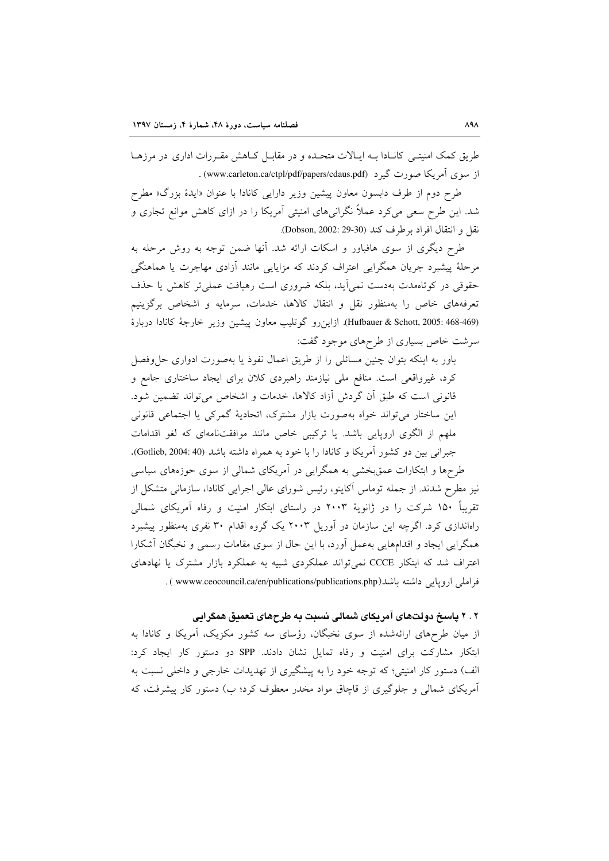طریق کمک امنیتـی کانـادا بـه ایـالات متحـده و در مقابـل کـاهش مقـررات اداری در مرزهـا از سوی آمریکا صورت گیرد (www.carleton.ca/ctpl/pdf/papers/cdaus.pdf).

طرح دوم از طرف دابسون معاون پیشین وزیر دارایی کانادا با عنوان «ایدهٔ بزرگ» مطرح شد. این طرح سعی میکرد عملاً نگرانیهای امنیتی آمریکا را در ازای کاهش موانع تجاری و نقل و انتقال افراد برطرف كند (Dobson, 2002: 29-30).

طرح دیگری از سوی هافباور و اسکات ارائه شد. آنها ضمن توجه به روش مرحله به مرحلهٔ پیشبرد جریان همگرایی اعتراف کردند که مزایایی مانند آزادی مهاجرت یا هماهنگی حقوقی در کوتاهمدت بهدست نمی آید، بلکه ضروری است رهیافت عملیتر کاهش یا حذف تعرفههای خاص را بهمنظور نقل و انتقال کالاها، خدمات، سرمایه و اشخاص برگزینیم (Hufbauer & Schott, 2005: 468-469). ازاین رو گوتلیب معاون پیشین وزیر خارجهٔ کانادا دربارهٔ سرشت خاص بسیاری از طرحهای موجود گفت:

باور به اینکه بتوان چنین مسائلی را از طریق اعمال نفوذ یا بهصورت ادواری حلءفصل کرد، غیرواقعی است. منافع ملی نیازمند راهبردی کلان برای ایجاد ساختاری جامع و قانونی است که طبق آن گردش آزاد کالاها، خدمات و اشخاص می تواند تضمین شود. این ساختار می تواند خواه بهصورت بازار مشترک، اتحادیهٔ گمرکی یا اجتماعی قانونی ملهم از الگوی اروپایی باشد. یا ترکیبی خاص مانند موافقتنامهای که لغو اقدامات جبراني بين دو كشور آمريكا و كانادا را با خود به همراه داشته باشد (40:3004, Gotlieb, 2004).

طرحها و ابتکارات عمقبخشی به همگرایی در آمریکای شمالی از سوی حوزههای سیاسی نیز مطرح شدند. از جمله توماس آکاینو، رئیس شورای عالی اجرایی کانادا، سازمانی متشکل از تقریباً ۱۵۰ شرکت را در ژانویهٔ ۲۰۰۳ در راستای ابتکار امنیت و رفاه آمریکای شمالی راهاندازی کرد. اگرچه این سازمان در آوریل ۲۰۰۳ یک گروه اقدام ۳۰ نفری بهمنظور پیشبرد همگرایی ایجاد و اقدامهایی بهعمل آورد، با این حال از سوی مقامات رسمی و نخبگان آشکارا اعتراف شد که ابتکار CCCE نمی تواند عملکردی شبیه به عملکرد بازار مشترک یا نهادهای فراملي ارويايي داشته باشد(www.ceocouncil.ca/en/publications/publications.php ) .

### ۲ . ۲ پاسخ دولتهای آمریکای شمالی نسبت به طرحهای تعمیق همگرایی

از میان طرحهای ارائهشده از سوی نخبگان، رؤسای سه کشور مکزیک، آمریکا و کانادا به ابتکار مشارکت برای امنیت و رفاه تمایل نشان دادند. SPP دو دستور کار ایجاد کرد: الف) دستور کار امنیتی؛ که توجه خود را به پیشگیری از تهدیدات خارجی و داخلی نسبت به آمریکای شمالی و جلوگیری از قاچاق مواد مخدر معطوف کرد؛ ب) دستور کار پیشرفت، که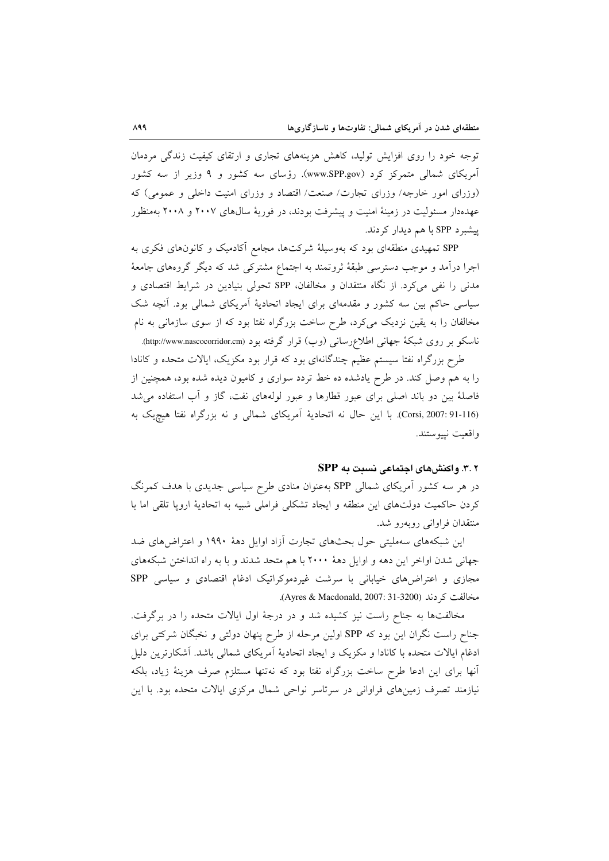توجه خود را روی افزایش تولید، کاهش هزینههای تجاری و ارتقای کیفیت زندگی مردمان آمریکای شمالی متمرکز کرد (www.SPP.gov). رؤسای سه کشور و ۹ وزیر از سه کشور (وزرای امور خارجه/ وزرای تجارت/ صنعت/ اقتصاد و وزرای امنیت داخلی و عمومی) که عهدهدار مسئولیت در زمینهٔ امنیت و پیشرفت بودند، در فوریهٔ سالهای ۲۰۰۷ و ۲۰۰۸ بهمنظور پیشبر د SPP با هم دیدار کردند.

SPP تمهیدی منطقهای بود که بهوسیلهٔ شرکتها، مجامع آکادمیک و کانونهای فکری به اجرا درآمد و موجب دسترسی طبقهٔ ثروتمند به اجتماع مشترکی شد که دیگر گروههای جامعهٔ مدنی را نفی می کرد. از نگاه منتقدان و مخالفان، SPP تحولی بنیادین در شرایط اقتصادی و سیاسی حاکم بین سه کشور و مقدمهای برای ایجاد اتحادیهٔ آمریکای شمالی بود. آنچه شک مخالفان را به یقین نزدیک میکرد، طرح ساخت بزرگراه نفتا بود که از سوی سازمانی به نام ناسکو بر روی شبکهٔ جهانی اطلاعرسانی (وب) قرار گرفته بود (http://www.nascocorridor.cm).

طرح بزرگراه نفتا سیستم عظیم چندگانهای بود که قرار بود مکزیک، ایالات متحده و کانادا را به هم وصل کند. در طرح یادشده ده خط تردد سواری و کامیون دیده شده بود، همچنین از فاصلهٔ بین دو باند اصلی برای عبور قطارها و عبور لولههای نفت، گاز و آب استفاده می شد (Corsi, 2007: 91-116). با این حال نه اتحادیهٔ آمریکای شمالی و نه بزرگراه نفتا هیچیک به واقعيت نييوستند.

### ۲.۲. واکنشهای اجتماعی نسبت به SPP

در هر سه کشور اَمریکای شمالی SPP بهعنوان منادی طرح سیاسی جدیدی با هدف کمرنگ كردن حاكميت دولتهاى اين منطقه و ايجاد تشكلي فراملي شبيه به اتحادية اروپا تلقى اما با منتقدان فراوانی روبهرو شد.

این شبکههای سهملیتی حول بحثهای تجارت آزاد اوایل دههٔ ۱۹۹۰ و اعتراضهای ضد جهانی شدن اواخر این دهه و اوایل دههٔ ۲۰۰۰ با هم متحد شدند و با به راه انداختن شبکههای مجازی و اعتراضهای خیابانی با سرشت غیردموکراتیک ادغام اقتصادی و سیاسی SPP مخالفت کر دند (Ayres & Macdonald, 2007: 31-3200).

مخالفتها به جناح راست نیز کشیده شد و در درجهٔ اول ایالات متحده را در برگرفت. جناح راست نگران این بود که SPP اولین مرحله از طرح پنهان دولتی و نخبگان شرکتی برای ادغام ایالات متحده با کانادا و مکزیک و ایجاد اتحادیهٔ آمریکای شمالی باشد. آشکارترین دلیل آنها برای این ادعا طرح ساخت بزرگراه نفتا بود که نهتنها مستلزم صرف هزینهٔ زیاد، بلکه نیازمند تصرف زمینهای فراوانی در سرتاسر نواحی شمال مرکزی ایالات متحده بود. با این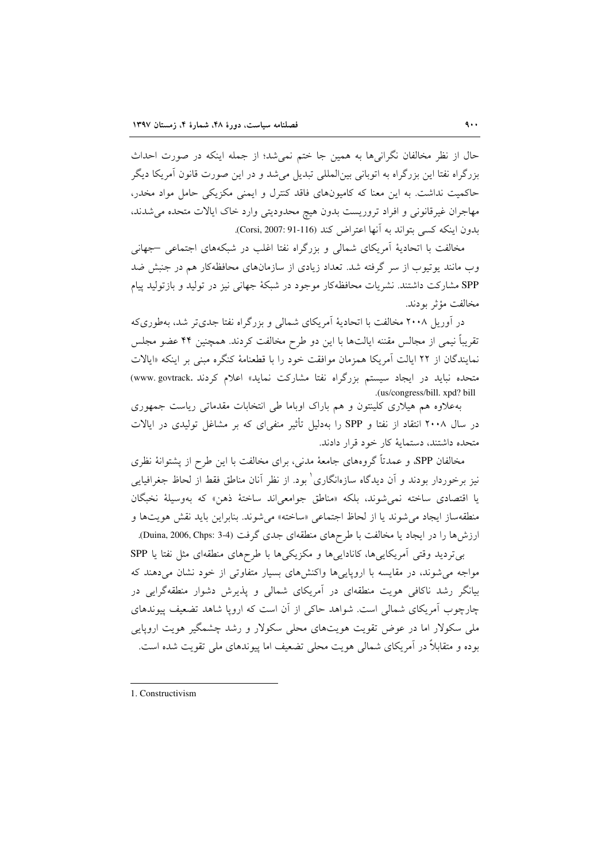حال از نظر مخالفان نگرانیها به همین جا ختم نمیشد؛ از جمله اینکه در صورت احداث بزرگراه نفتا این بزرگراه به اتوبانی بین|لمللی تبدیل میشد و در این صورت قانون آمریکا دیگر حاکمیت نداشت. به این معنا که کامیونهای فاقد کنترل و ایمنی مکزیکی حامل مواد مخدر، مهاجران غيرقانوني و افراد تروريست بدون هيچ محدوديتي وارد خاک ايالات متحده مي شدند، بدون اينكه كسى بتواند به آنها اعتراض كند (Corsi, 2007: 91-116).

مخالفت با اتحادیهٔ آمریکای شمالی و بزرگراه نفتا اغلب در شبکههای اجتماعی –جهانی وب مانند یوتیوب از سر گرفته شد. تعداد زیادی از سازمانهای محافظهکار هم در جنبش ضد SPP مشارکت داشتند. نشریات محافظهکار موجود در شبکهٔ جهانی نیز در تولید و بازتولید پیام مخالفت مؤثر بودند.

در آوریل ۲۰۰۸ مخالفت با اتحادیهٔ آمریکای شمالی و بزرگراه نفتا جدیتر شد، بهطوریکه تقريباً نيمي از مجالس مقننه ايالتها با اين دو طرح مخالفت كردند. همچنين ۴۴ عضو مجلس نمایندگان از ۲۲ ایالت اَمریکا همزمان موافقت خود را با قطعنامهٔ کنگره مبنی بر اینکه «ایالات متحده نباید در ایجاد سیستم بزرگراه نفتا مشارکت نماید» اعلام کردند .www.govtrack) .(us/congress/bill. xpd? bill

بهعلاوه هم هیلاری کلینتون و هم باراک اوباما طی انتخابات مقدماتی ریاست جمهوری در سال ۲۰۰۸ انتقاد از نفتا و SPP را بهدلیل تأثیر منفی|ی که بر مشاغل تولیدی در ایالات متحده داشتند، دستمايهٔ كار خود قرار دادند.

مخالفان SPP، و عمدتاً گروههای جامعهٔ مدنی، برای مخالفت با این طرح از پشتوانهٔ نظری نیز برخوردار بودند و آن دیدگاه سازهانگاری ٰ بود. از نظر آنان مناطق فقط از لحاظ جغرافیایی يا اقتصادي ساخته نمي شوند، بلكه «مناطق جوامعي اند ساختهٔ ذهن» كه بهوسيلة نخبگان منطقهساز ايجاد مي شوند يا از لحاظ اجتماعي «ساخته» مي شوند. بنابراين بايد نقش هويتها و ارزش ها را در ايجاد يا مخالفت با طرحهاي منطقهاي جدي گرفت (3-3 :Duina, 2006, Chps).

بی تردید وقتی آمریکاییها، کاناداییها و مکزیکیها با طرحهای منطقهای مثل نفتا یا SPP مواجه می شوند، در مقایسه با اروپاییها واکنشهای بسیار متفاوتی از خود نشان میدهند که بیانگر رشد ناکافی هویت منطقهای در آمریکای شمالی و پذیرش دشوار منطقهگرایی در چارچوب آمریکای شمالی است. شواهد حاکی از آن است که اروپا شاهد تضعیف پیوندهای ملی سکولار اما در عوض تقویت هویتهای محلی سکولار و رشد چشمگیر هویت اروپایی بوده و متقابلاً در آمریکای شمالی هویت محلی تضعیف اما پیوندهای ملی تقویت شده است.

<sup>1.</sup> Constructivism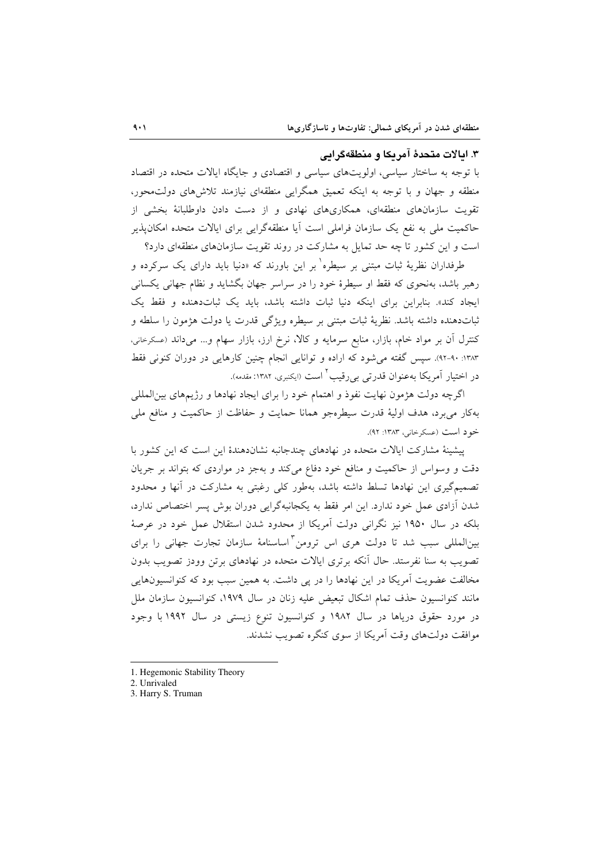### ۳. ایالات متحدهٔ آمریکا و منطقهگرایی

با توجه به ساختار سیاسی، اولویتهای سیاسی و اقتصادی و جایگاه ایالات متحده در اقتصاد منطقه و جهان و با توجه به اینکه تعمیق همگرایی منطقهای نیازمند تلاشهای دولت محور، تقویت سازمانهای منطقهای، همکاریهای نهادی و از دست دادن داوطلبانهٔ بخشی از حاکمیت ملی به نفع یک سازمان فراملی است آیا منطقهگرایی برای ایالات متحده امکانپذیر است و این کشور تا چه حد تمایل به مشارکت در روند تقویت سازمانهای منطقهای دارد؟

طرفداران نظریهٔ ثبات مبتنی بر سیطره<sup>۱</sup> بر این باورند که «دنیا باید دارای یک سرکرده و رهبر باشد، بهنحوی که فقط او سیطرهٔ خود را در سراسر جهان بگشاید و نظام جهانی یکسانی ایجاد کند». بنابراین برای اینکه دنیا ثبات داشته باشد، باید یک ثباتدهنده و فقط یک ثباتدهنده داشته باشد. نظريهٔ ثبات مبتنى بر سيطره ويژگى قدرت يا دولت هژمون را سلطه و کنترل آن بر مواد خام، بازار، منابع سرمایه و کالا، نرخ ارز، بازار سهام و... میداند (عسکرخانی، ۱۳۸۳: ۹۰-۹۲). سیس گفته می شود که اراده و توانایی انجام چنین کارهایی در دوران کنونی فقط در اختیار آمریکا بهعنوان قدرتی بی رقیب <sup>۲</sup> است (ایکنبری، ۱۳۸۲: مقدمه).

اگرچه دولت هژمون نهایت نفوذ و اهتمام خود را برای ایجاد نهادها و رژیمهای بینالمللی بهکار میبرد، هدف اولیهٔ قدرت سیطرهجو همانا حمایت و حفاظت از حاکمیت و منافع ملی خود است (عسکرخانی، ۱۳۸۳: ۹۲).

پیشینهٔ مشارکت ایالات متحده در نهادهای چندجانبه نشاندهندهٔ این است که این کشور با دقت و وسواس از حاکمیت و منافع خود دفاع می کند و بهجز در مواردی که بتواند بر جریان تصمیمگیری این نهادها تسلط داشته باشد، بهطور کلی رغبتی به مشارکت در آنها و محدود شدن آزادی عمل خود ندارد. این امر فقط به یکجانبهگرایی دوران بوش پسر اختصاص ندارد، بلکه در سال ۱۹۵۰ نیز نگرانی دولت آمریکا از محدود شدن استقلال عمل خود در عرصهٔ بین|لمللی سبب شد تا دولت هری اس ترومن <sup>۳</sup>اساسنامهٔ سازمان تجارت جهانی را برای تصویب به سنا نفرستد. حال آنکه برتری ایالات متحده در نهادهای برتن وودز تصویب بدون مخالفت عضویت آمریکا در این نهادها را در یی داشت. به همین سبب بود که کنوانسیونهایی مانند کنوانسیون حذف تمام اشکال تبعیض علیه زنان در سال ۱۹۷۹، کنوانسیون سازمان ملل در مورد حقوق دریاها در سال ۱۹۸۲ و کنوانسیون تنوع زیستی در سال ۱۹۹۲ با وجود موافقت دولتهای وقت آمریکا از سوی کنگره تصویب نشدند.

- 1. Hegemonic Stability Theory
- 2. Unrivaled
- 3. Harry S. Truman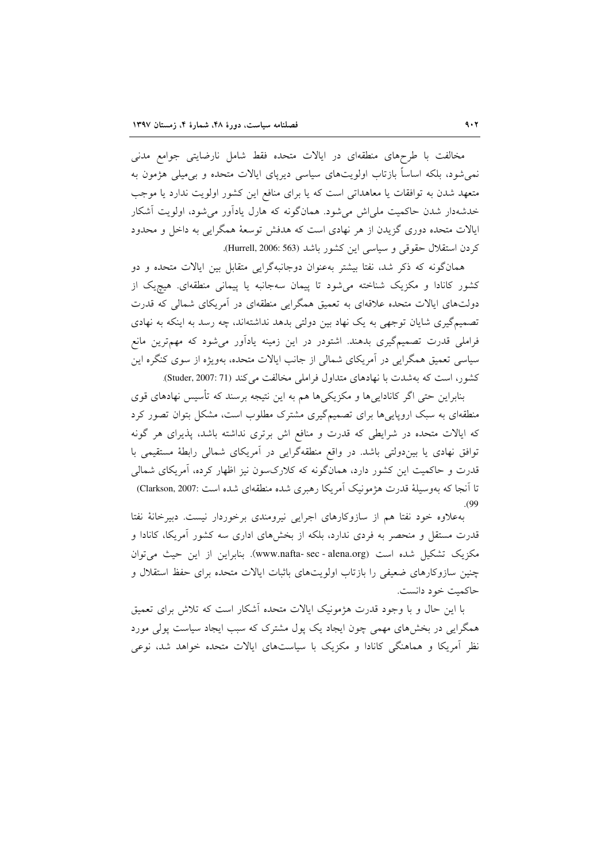مخالفت با طرحهای منطقهای در ایالات متحده فقط شامل نارضایتی جوامع مدنی نمی شود، بلکه اساساً بازتاب اولویتهای سیاسی دیریای ایالات متحده و بی میلی هژمون به متعهد شدن به توافقات یا معاهداتی است که یا برای منافع این کشور اولویت ندارد یا موجب خدشهدار شدن حاکمیت ملی!ش میشود. همانگونه که هارل یادآور میشود، اولویت آشکار ایالات متحده دوری گزیدن از هر نهادی است که هدفش توسعهٔ همگرایی به داخل و محدود كردن استقلال حقوقي و سياسي اين كشور باشد (Hurrell, 2006: 563).

همانگونه که ذکر شد، نفتا بیشتر بهعنوان دوجانبهگرایی متقابل بین ایالات متحده و دو کشور کانادا و مکزیک شناخته می شود تا پیمان سهجانبه یا پیمانی منطقهای. هیچیک از دولتهای ایالات متحده علاقهای به تعمیق همگرایی منطقهای در آمریکای شمالی که قدرت تصمیمگیری شایان توجهی به یک نهاد بین دولتی بدهد نداشتهاند، چه رسد به اینکه به نهادی فراملی قدرت تصمیمگیری بدهند. اشتودر در این زمینه یادآور می شود که مهمترین مانع سیاسی تعمیق همگرایی در اَمریکای شمالی از جانب ایالات متحده، بهویژه از سوی کنگره این کشور، است که بهشدت با نهادهای متداول فراملی مخالفت می کند (Studer, 2007: 71).

بنابراین حتی اگر کاناداییها و مکزیکیها هم به این نتیجه برسند که تأسیس نهادهای قوی منطقهای به سبک اروپاییها برای تصمیمگیری مشترک مطلوب است، مشکل بتوان تصور کرد که ایالات متحده در شرایطی که قدرت و منافع اش برتری نداشته باشد، پذیرای هر گونه توافق نهادی یا بین دولتی باشد. در واقع منطقهگرایی در آمریکای شمالی رابطهٔ مستقیمی با قدرت و حاکمیت این کشور دارد، همانگونه که کلارکسون نیز اظهار کرده، آمریکای شمالی تا آنجا که بهوسیلهٔ قدرت هژمونیک آمریکا رهبری شده منطقهای شده است :Clarkson, 2007)  $(99)$ 

بهعلاوه خود نفتا هم از سازوكارهاى اجرايى نيرومندى برخوردار نيست. دبيرخانهٔ نفتا قدرت مستقل و منحصر به فردی ندارد، بلکه از بخشهای اداری سه کشور آمریکا، کانادا و مکزیک تشکیل شده است (www.nafta- sec - alena.org). بنابراین از این حیث می توان چنین سازوکارهای ضعیفی را بازتاب اولویتهای باثبات ایالات متحده برای حفظ استقلال و حاكمت خود دانست.

با این حال و با وجود قدرت هژمونیک ایالات متحده آشکار است که تلاش برای تعمیق همگرایی در بخشهای مهمی چون ایجاد یک پول مشترک که سبب ایجاد سیاست پولی مورد نظر آمریکا و هماهنگی کانادا و مکزیک با سیاستهای ایالات متحده خواهد شد، نوعی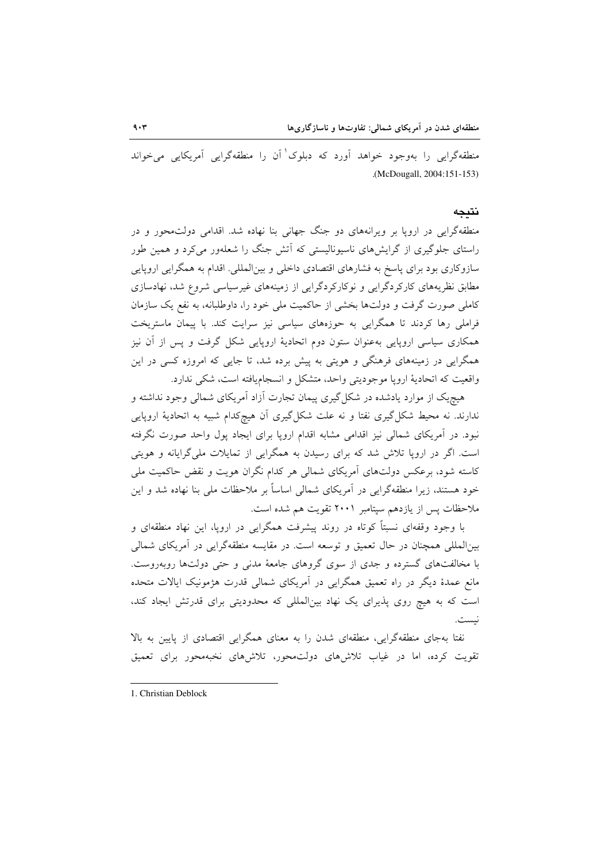منطقهگرایی را بهوجود خواهد آورد که دبلوک<sup>\</sup> آن را منطقهگرایی آمریکایی میخواند .(McDougall, 2004:151-153)

#### نتىجە

منطقهگرایی در اروپا بر ویرانههای دو جنگ جهانی بنا نهاده شد. اقدامی دولتمحور و در راستای جلوگیری از گرایشهای ناسیونالیستی که آتش جنگ را شعلهور میکرد و همین طور سازوکاری بود برای پاسخ به فشارهای اقتصادی داخلی و بینالمللی. اقدام به همگرایی اروپایی مطابق نظریههای کارکردگرایی و نوکارکردگرایی از زمینههای غیرسیاسی شروع شد، نهادسازی کاملی صورت گرفت و دولتها بخشی از حاکمیت ملی خود را، داوطلبانه، به نفع یک سازمان فراملی رها کردند تا همگرایی به حوزههای سیاسی نیز سرایت کند. با پیمان ماستریخت همکاری سیاسی اروپایی بهعنوان ستون دوم اتحادیهٔ اروپایی شکل گرفت و پس از آن نیز همگرایی در زمینههای فرهنگی و هویتی به پیش برده شد، تا جایی که امروزه کسی در این واقعیت که اتحادیهٔ اروپا موجودیتی واحد، متشکل و انسجامیافته است، شکی ندارد.

هیچیک از موارد یادشده در شکل گیری پیمان تجارت آزاد آمریکای شمالی وجود نداشته و ندارند. نه محیط شکل گیری نفتا و نه علت شکل گیری آن هیچکدام شبیه به اتحادیهٔ اروپایی نبود. در آمریکای شمالی نیز اقدامی مشابه اقدام اروپا برای ایجاد پول واحد صورت نگرفته است. اگر در اروپا تلاش شد که برای رسیدن به همگرایی از تمایلات ملیگرایانه و هویتی کاسته شود، برعکس دولتهای آمریکای شمالی هر کدام نگران هویت و نقض حاکمیت ملی خود هستند، زیرا منطقهگرایی در آمریکای شمالی اساساً بر ملاحظات ملی بنا نهاده شد و این ملاحظات پس از یازدهم سیتامبر ۲۰۰۱ تقویت هم شده است.

با وجود وقفهای نسبتاً کوتاه در روند پیشرفت همگرایی در اروپا، این نهاد منطقهای و بين|لمللي همچنان در حال تعميق و توسعه است. در مقايسه منطقهگرايي در آمريكاي شمالي با مخالفتهای گسترده و جدی از سوی گروهای جامعهٔ مدنی و حتی دولتها روبهروست. مانع عمدهٔ دیگر در راه تعمیق همگرایی در آمریکای شمالی قدرت هژمونیک ایالات متحده است که به هیچ روی پذیرای یک نهاد بینالمللی که محدودیتی برای قدرتش ایجاد کند، نست.

نفتا بهجای منطقهگرایی، منطقهای شدن را به معنای همگرایی اقتصادی از پایین به بالا تقویت کرده، اما در غیاب تلاشهای دولتمحور، تلاشهای نخبهمحور برای تعمیق

<sup>1.</sup> Christian Deblock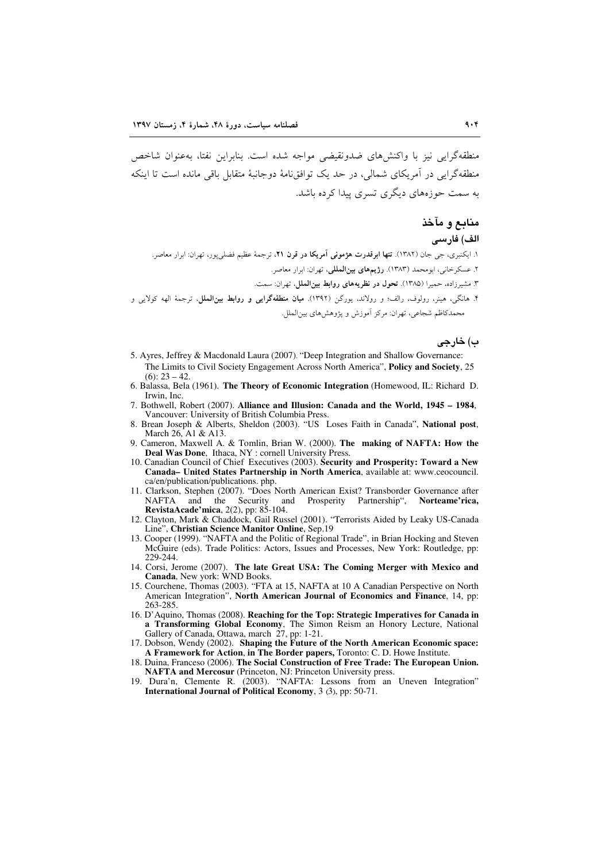منطقه گرایی نیز با واکنش های ضدونقیضی مواجه شده است. بنابراین نفتا، بهعنوان شاخص منطقه گرایی در آمریکای شمالی، در حدیک توافق نامهٔ دوجانیهٔ متقابل باقی مانده است تا اینکه به سمت حوزههای دیگری تسری پیدا کرده باشد.

## منابع و مآخذ

### الف) فارسى

۱. ایکنبری، جی جان (۱۳۸۲). **تنها ابرقدرت هژمونی آمریکا در قرن ۲۱**، ترجمهٔ عظیم فضلیeپور، تهران: ابرار معاصر. ٢. عسكرخاني، ابومحمد (١٣٨٣). رژيمهاي بينالمللي، تهران: ابرار معاصر. ٣. مشيرزاده، حميرا (١٣٨٥). تحول در نظريههاي روابط بين الملل، تهران: سمت.

۴. هانگے، هینر، رولوف، رالف؛ و رولاند، یورگن (۱۳۹۲). **میان منطقهگرایی و روابط بین(لملل**، ترجمهٔ الهه کولایی و محمدکاظم شجاعی، تھران: مرکز اَموزش و پژوهش های بین الملل.

#### ب) خارجي

- 5. Ayres, Jeffrey & Macdonald Laura (2007). "Deep Integration and Shallow Governance: The Limits to Civil Society Engagement Across North America", Policy and Society, 25  $(6): 23 - 42.$
- 6. Balassa, Bela (1961). The Theory of Economic Integration (Homewood, IL: Richard D. Irwin, Inc.
- 7. Bothwell, Robert (2007). Alliance and Illusion: Canada and the World, 1945 1984. Vancouver: University of British Columbia Press.
- 8. Brean Joseph & Alberts, Sheldon (2003). "US Loses Faith in Canada", National post, March 26, A1 & A13.
- 9. Cameron, Maxwell A. & Tomlin, Brian W. (2000). The making of NAFTA: How the Deal Was Done, Ithaca, NY : cornell University Press.
- 10. Canadian Council of Chief Executives (2003). Security and Prosperity: Toward a New Canada- United States Partnership in North America, available at: www.ceocouncil. ca/en/publication/publications. php.
- 11. Clarkson, Stephen (2007). "Does North American Exist? Transborder Governance after **NAFTA** and the Security and Prosperity Partnership", Norteame'rica, RevistaAcade'mica, 2(2), pp: 85-104.
- 12. Clayton, Mark & Chaddock, Gail Russel (2001). "Terrorists Aided by Leaky US-Canada Line", Christian Science Manitor Online, Sep.19
- 13. Cooper (1999). "NAFTA and the Politic of Regional Trade", in Brian Hocking and Steven McGuire (eds). Trade Politics: Actors, Issues and Processes, New York: Routledge, pp: 229-244.
- 14. Corsi, Jerome (2007). The late Great USA: The Coming Merger with Mexico and Canada, New york: WND Books.
- 15. Courchene, Thomas (2003). "FTA at 15, NAFTA at 10 A Canadian Perspective on North American Integration", North American Journal of Economics and Finance, 14, pp: 263-285.
- 16. D'Aquino, Thomas (2008). Reaching for the Top: Strategic Imperatives for Canada in a Transforming Global Economy, The Simon Reism an Honory Lecture, National Gallery of Canada, Ottawa, march 27, pp: 1-21.
- 17. Dobson, Wendy (2002). Shaping the Future of the North American Economic space: A Framework for Action, in The Border papers, Toronto: C. D. Howe Institute.
- 18. Duina, Franceso (2006). The Social Construction of Free Trade: The European Union. NAFTA and Mercosur (Princeton, NJ: Princeton University press.<br>19. Dura'n, Clemente R. (2003). "NAFTA: Lessons from an Uneven Integration"
- International Journal of Political Economy, 3 (3), pp: 50-71.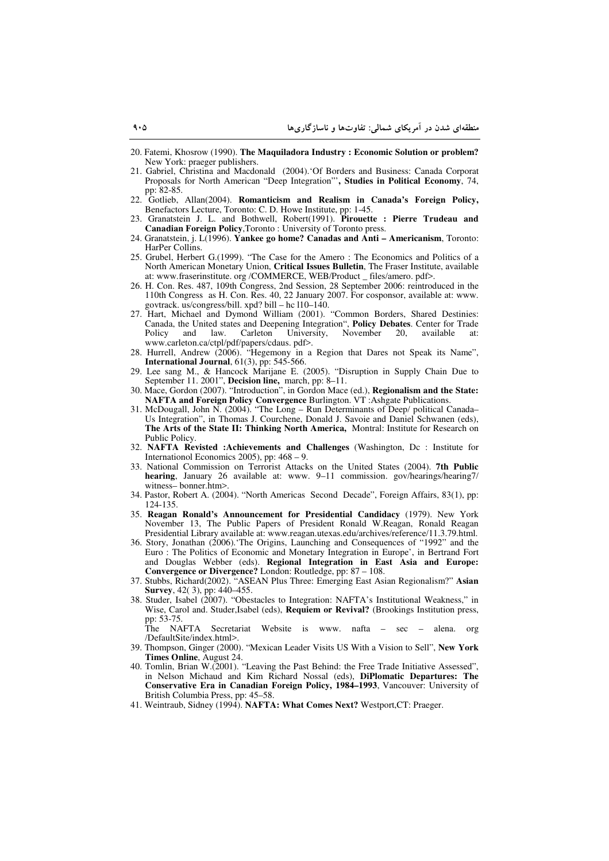- 20. Fatemi, Khosrow (1990). **The Maquiladora Industry : Economic Solution or problem?** New York: praeger publishers.
- 21. Gabriel, Christina and Macdonald (2004).'Of Borders and Business: Canada Corporat Proposals for North American "Deep Integration"'**, Studies in Political Economy**, 74, pp: 82-85.
- 22. Gotlieb, Allan(2004). **Romanticism and Realism in Canada's Foreign Policy,** Benefactors Lecture, Toronto: C. D. Howe Institute, pp: 1-45.
- 23. Granatstein J. L. and Bothwell, Robert(1991). **Pirouette : Pierre Trudeau and Canadian Foreign Policy**,Toronto : University of Toronto press.
- 24. Granatstein, j. L(1996). **Yankee go home? Canadas and Anti Americanism**, Toronto: HarPer Collins.
- 25. Grubel, Herbert G.(1999). "The Case for the Amero : The Economics and Politics of a North American Monetary Union, **Critical Issues Bulletin**, The Fraser Institute, available at: www.fraserinstitute. org /COMMERCE, WEB/Product \_ files/amero. pdf>.
- 26. H. Con. Res. 487, 109th Congress, 2nd Session, 28 September 2006: reintroduced in the 110th Congress as H. Con. Res. 40, 22 January 2007. For cosponsor, available at: www. govtrack. us/congress/bill. xpd? bill – hc l10–140.
- 27. Hart, Michael and Dymond William (2001). "Common Borders, Shared Destinies: Canada, the United states and Deepening Integration", **Policy Debates**. Center for Trade Policy and law. Carleton University, November 20, available at: www.carleton.ca/ctpl/pdf/papers/cdaus. pdf>.
- 28. Hurrell, Andrew (2006). "Hegemony in a Region that Dares not Speak its Name", **International Journal**, 61(3), pp: 545-566.
- 29. Lee sang M., & Hancock Marijane E. (2005). "Disruption in Supply Chain Due to September 11. 2001", **Decision line,** march, pp: 8–11.
- 30. Mace, Gordon (2007). "Introduction", in Gordon Mace (ed.), **Regionalism and the State: NAFTA and Foreign Policy Convergence** Burlington. VT :Ashgate Publications.
- 31. McDougall, John N. (2004). "The Long Run Determinants of Deep/ political Canada– Us Integration", in Thomas J. Courchene, Donald J. Savoie and Daniel Schwanen (eds), **The Arts of the State II: Thinking North America,** Montral: Institute for Research on Public Policy.
- 32. **NAFTA Revisted :Achievements and Challenges** (Washington, Dc : Institute for Internationol Economics 2005), pp: 468 – 9.
- 33. National Commission on Terrorist Attacks on the United States (2004). **7th Public hearing**, January 26 available at: www. 9–11 commission. gov/hearings/hearing7/ witness– bonner.htm>.
- 34. Pastor, Robert A. (2004). "North Americas Second Decade", Foreign Affairs, 83(1), pp: 124-135.
- 35. **Reagan Ronald's Announcement for Presidential Candidacy** (1979). New York November 13, The Public Papers of President Ronald W.Reagan, Ronald Reagan Presidential Library available at: www.reagan.utexas.edu/archives/reference/11.3.79.html.
- 36. Story, Jonathan (2006).'The Origins, Launching and Consequences of "1992" and the Euro : The Politics of Economic and Monetary Integration in Europe', in Bertrand Fort and Douglas Webber (eds). **Regional Integration in East Asia and Europe: Convergence or Divergence?** London: Routledge, pp: 87 – 108.
- 37. Stubbs, Richard(2002). "ASEAN Plus Three: Emerging East Asian Regionalism?" **Asian Survey**, 42( 3), pp: 440–455.
- 38. Studer, Isabel (2007). "Obestacles to Integration: NAFTA's Institutional Weakness," in Wise, Carol and. Studer,Isabel (eds), **Requiem or Revival?** (Brookings Institution press, pp: 53-75.

The NAFTA Secretariat Website is www. nafta – sec – alena. org /DefaultSite/index.html>.

- 39. Thompson, Ginger (2000). "Mexican Leader Visits US With a Vision to Sell", **New York Times Online**, August 24.
- 40. Tomlin, Brian W.(2001). "Leaving the Past Behind: the Free Trade Initiative Assessed", in Nelson Michaud and Kim Richard Nossal (eds), **DiPlomatic Departures: The Conservative Era in Canadian Foreign Policy, 1984–1993**, Vancouver: University of British Columbia Press, pp: 45–58.
- 41. Weintraub, Sidney (1994). **NAFTA: What Comes Next?** Westport,CT: Praeger.